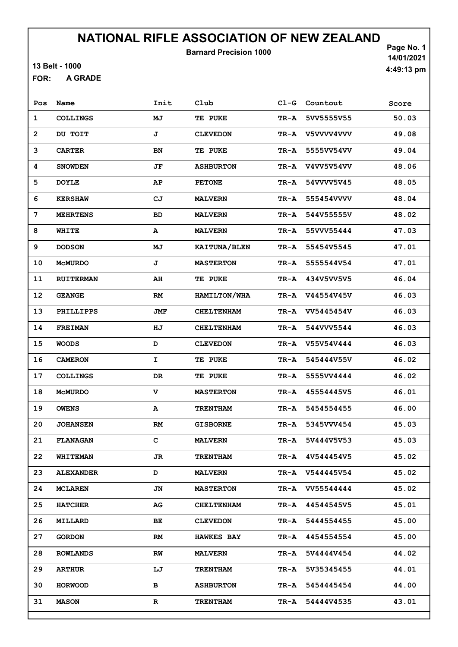Barnard Precision 1000

13 Belt - 1000

A GRADE FOR:

Page No. 1 14/01/2021 4:49:13 pm

| Pos            | Name             | Init        | Club              | $CL-G$ | Countout        | Score |
|----------------|------------------|-------------|-------------------|--------|-----------------|-------|
| 1              | <b>COLLINGS</b>  | MJ          | TE PUKE           | TR-A   | 5VV5555V55      | 50.03 |
| $\overline{2}$ | DU TOIT          | J           | <b>CLEVEDON</b>   | TR-A   | V5VVVV4VVV      | 49.08 |
| 3              | <b>CARTER</b>    | BN          | TE PUKE           | TR-A   | 5555VV54VV      | 49.04 |
| 4              | <b>SNOWDEN</b>   | JF          | <b>ASHBURTON</b>  | TR-A   | V4VV5V54VV      | 48.06 |
| 5              | <b>DOYLE</b>     | AΡ          | <b>PETONE</b>     | TR-A   | 54VVVV5V45      | 48.05 |
| 6              | <b>KERSHAW</b>   | CJ          | <b>MALVERN</b>    | TR-A   | 555454VVVV      | 48.04 |
| 7              | <b>MEHRTENS</b>  | <b>BD</b>   | <b>MALVERN</b>    | TR-A   | 544V55555V      | 48.02 |
| 8              | WHITE            | A           | <b>MALVERN</b>    | TR-A   | 55VVV55444      | 47.03 |
| 9              | <b>DODSON</b>    | MJ          | KAITUNA/BLEN      | TR-A   | 55454V5545      | 47.01 |
| 10             | <b>MCMURDO</b>   | J           | <b>MASTERTON</b>  | TR-A   | 5555544V54      | 47.01 |
| 11             | <b>RUITERMAN</b> | AH          | TE PUKE           | TR-A   | 434V5VV5V5      | 46.04 |
| 12             | <b>GEANGE</b>    | RM          | HAMILTON/WHA      | TR-A   | V44554V45V      | 46.03 |
| 13             | PHILLIPPS        | JMF         | <b>CHELTENHAM</b> | TR-A   | VV5445454V      | 46.03 |
| 14             | <b>FREIMAN</b>   | HJ          | <b>CHELTENHAM</b> | TR-A   | 544VVV5544      | 46.03 |
| 15             | <b>WOODS</b>     | D           | <b>CLEVEDON</b>   | TR-A   | V55V54V444      | 46.03 |
| 16             | <b>CAMERON</b>   | I           | TE PUKE           | TR-A   | 545444V55V      | 46.02 |
| 17             | COLLINGS         | DR          | <b>TE PUKE</b>    | TR-A   | 5555VV4444      | 46.02 |
| 18             | <b>MCMURDO</b>   | v           | <b>MASTERTON</b>  | TR-A   | 45554445V5      | 46.01 |
| 19             | <b>OWENS</b>     | А           | <b>TRENTHAM</b>   | TR-A   | 5454554455      | 46.00 |
| 20             | <b>JOHANSEN</b>  | RM          | <b>GISBORNE</b>   | TR-A   | 5345VVV454      | 45.03 |
| 21             | <b>FLANAGAN</b>  | C           | <b>MALVERN</b>    | TR-A   | 5V444V5V53      | 45.03 |
| 22             | <b>WHITEMAN</b>  | JR          | <b>TRENTHAM</b>   | TR-A   | 4V544454V5      | 45.02 |
| 23             | <b>ALEXANDER</b> | D           | <b>MALVERN</b>    |        | TR-A V544445V54 | 45.02 |
| 24             | <b>MCLAREN</b>   | JN          | <b>MASTERTON</b>  |        | TR-A VV55544444 | 45.02 |
| 25             | <b>HATCHER</b>   | AG          | <b>CHELTENHAM</b> | TR-A   | 44544545V5      | 45.01 |
| 26             | <b>MILLARD</b>   | ВE          | <b>CLEVEDON</b>   | TR-A   | 5444554455      | 45.00 |
| 27             | <b>GORDON</b>    | RM          | <b>HAWKES BAY</b> | TR-A   | 4454554554      | 45.00 |
| 28             | <b>ROWLANDS</b>  | RW          | <b>MALVERN</b>    | TR-A   | 5V4444V454      | 44.02 |
| 29             | <b>ARTHUR</b>    | LJ          | <b>TRENTHAM</b>   | TR-A   | 5V35345455      | 44.01 |
| 30             | <b>HORWOOD</b>   | в           | <b>ASHBURTON</b>  | TR-A   | 5454445454      | 44.00 |
| 31             | <b>MASON</b>     | $\mathbf R$ | <b>TRENTHAM</b>   | TR-A   | 54444V4535      | 43.01 |
|                |                  |             |                   |        |                 |       |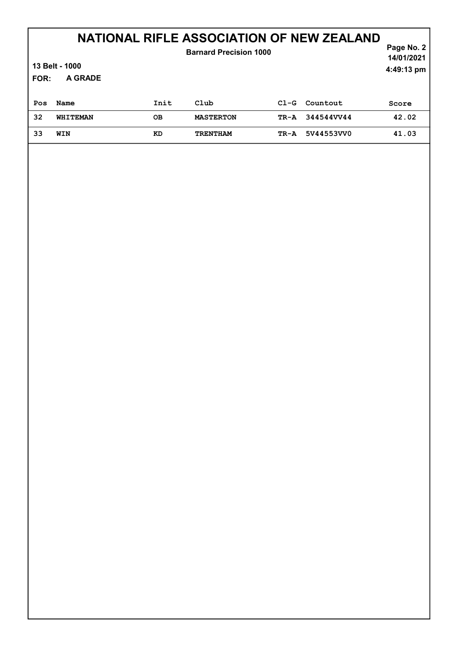#### Page No. 2 NATIONAL RIFLE ASSOCIATION OF NEW ZEALAND

#### A GRADE 14/01/2021 13 Belt - 1000 FOR: 4:49:13 pm Barnard Precision 1000 Pos Name 1nit Club Cl-G Countout Score 32 WHITEMAN OB MASTERTON TR-A 344544VV44 42.02 33 WIN KD TRENTHAM TR-A 5V44553VV0 41.03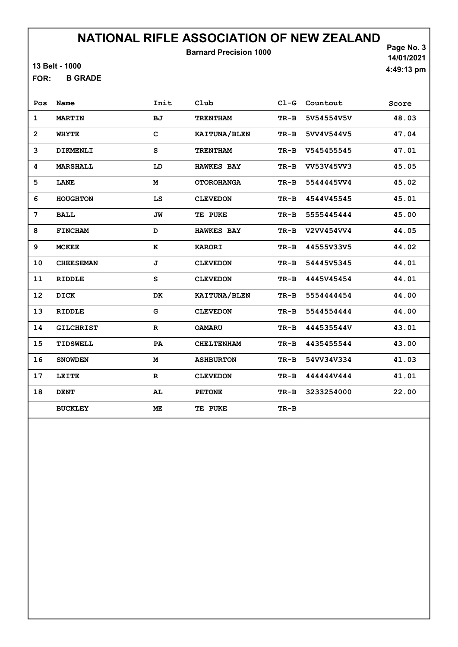Barnard Precision 1000

13 Belt - 1000

B GRADE FOR:

Page No. 3 14/01/2021 4:49:13 pm

| Pos            | Name             | Init         | Club              | $C1-G$ | Countout   | Score |
|----------------|------------------|--------------|-------------------|--------|------------|-------|
| 1              | <b>MARTIN</b>    | <b>BJ</b>    | <b>TRENTHAM</b>   | $TR-B$ | 5V54554V5V | 48.03 |
| $\overline{2}$ | WHYTE            | $\mathbf{C}$ | KAITUNA/BLEN      | $TR-B$ | 5VV4V544V5 | 47.04 |
| 3              | DIKMENLI         | S            | <b>TRENTHAM</b>   | $TR-B$ | V545455545 | 47.01 |
| 4              | <b>MARSHALL</b>  | LD           | <b>HAWKES BAY</b> | $TR-B$ | VV53V45VV3 | 45.05 |
| 5              | <b>LANE</b>      | M            | <b>OTOROHANGA</b> | $TR-B$ | 5544445VV4 | 45.02 |
| 6              | <b>HOUGHTON</b>  | LS           | <b>CLEVEDON</b>   | $TR-B$ | 4544V45545 | 45.01 |
| 7              | <b>BALL</b>      | JW           | TE PUKE           | $TR-B$ | 5555445444 | 45.00 |
| 8              | <b>FINCHAM</b>   | D            | <b>HAWKES BAY</b> | $TR-B$ | V2VV454VV4 | 44.05 |
| 9              | <b>MCKEE</b>     | к            | <b>KARORI</b>     | TR-B   | 44555V33V5 | 44.02 |
| 10             | <b>CHEESEMAN</b> | J            | <b>CLEVEDON</b>   | $TR-B$ | 54445V5345 | 44.01 |
| 11             | <b>RIDDLE</b>    | S            | <b>CLEVEDON</b>   | $TR-B$ | 4445V45454 | 44.01 |
| 12             | <b>DICK</b>      | DK           | KAITUNA/BLEN      | $TR-B$ | 5554444454 | 44.00 |
| 13             | <b>RIDDLE</b>    | G            | <b>CLEVEDON</b>   | $TR-B$ | 5544554444 | 44.00 |
| 14             | <b>GILCHRIST</b> | $\mathbf R$  | <b>OAMARU</b>     | $TR-B$ | 444535544V | 43.01 |
| 15             | TIDSWELL         | PA           | <b>CHELTENHAM</b> | $TR-B$ | 4435455544 | 43.00 |
| 16             | <b>SNOWDEN</b>   | M            | <b>ASHBURTON</b>  | $TR-B$ | 54VV34V334 | 41.03 |
| 17             | <b>LEITE</b>     | $\mathbf{R}$ | <b>CLEVEDON</b>   | $TR-B$ | 444444V444 | 41.01 |
| 18             | <b>DENT</b>      | AL           | <b>PETONE</b>     | TR-B   | 3233254000 | 22.00 |
|                | <b>BUCKLEY</b>   | ME           | TE PUKE           | $TR-B$ |            |       |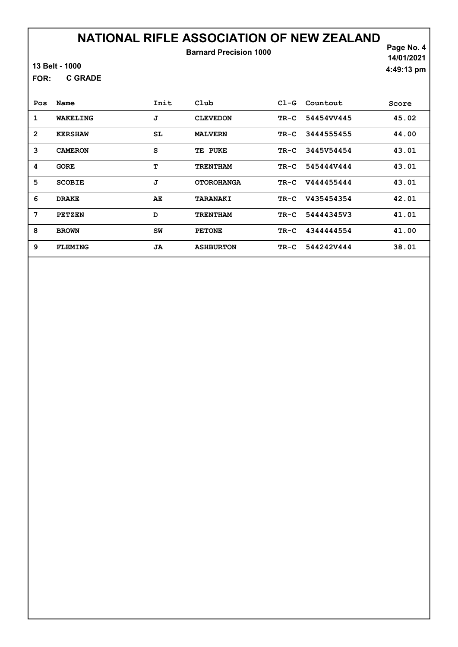### NATIONAL RIFLE ASSOCIATION OF NEW ZEALAND Barnard Precision 1000

13 Belt - 1000

C GRADE FOR:

Page No. 4 14/01/2021 4:49:13 pm

| Pos            | Name           | Init | Club              | $C1-G$ | Countout   | Score |
|----------------|----------------|------|-------------------|--------|------------|-------|
| 1              | WAKELING       | J    | <b>CLEVEDON</b>   | TR-C   | 54454VV445 | 45.02 |
| $\overline{2}$ | <b>KERSHAW</b> | SL   | <b>MALVERN</b>    | TR-C   | 3444555455 | 44.00 |
| 3              | <b>CAMERON</b> | S    | TE PUKE           | TR-C   | 3445V54454 | 43.01 |
| 4              | <b>GORE</b>    | т    | <b>TRENTHAM</b>   | $TR-C$ | 545444V444 | 43.01 |
| 5              | <b>SCOBIE</b>  | J    | <b>OTOROHANGA</b> | $TR-C$ | V444455444 | 43.01 |
| 6              | <b>DRAKE</b>   | AE   | <b>TARANAKI</b>   | $TR-C$ | V435454354 | 42.01 |
| 7              | <b>PETZEN</b>  | D    | <b>TRENTHAM</b>   | TR-C   | 5444434573 | 41.01 |
| 8              | <b>BROWN</b>   | SW   | <b>PETONE</b>     | TR-C   | 4344444554 | 41.00 |
| 9              | <b>FLEMING</b> | JA   | <b>ASHBURTON</b>  | TR-C   | 544242V444 | 38.01 |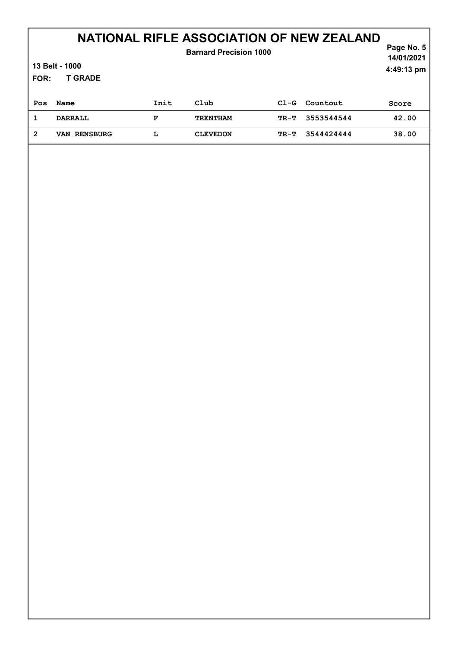| 13 Belt - 1000<br>FOR: |                | Page No. 5<br>14/01/2021<br>4:49:13 pm |                 |        |            |       |
|------------------------|----------------|----------------------------------------|-----------------|--------|------------|-------|
| Pos                    | Name           | Init                                   | Club            | $C1-G$ | Countout   | Score |
| 1                      | <b>DARRALL</b> | F                                      | <b>TRENTHAM</b> | TR-T   | 3553544544 | 42.00 |
| $\overline{2}$         | VAN RENSBURG   | L                                      | <b>CLEVEDON</b> | TR-T   | 3544424444 | 38.00 |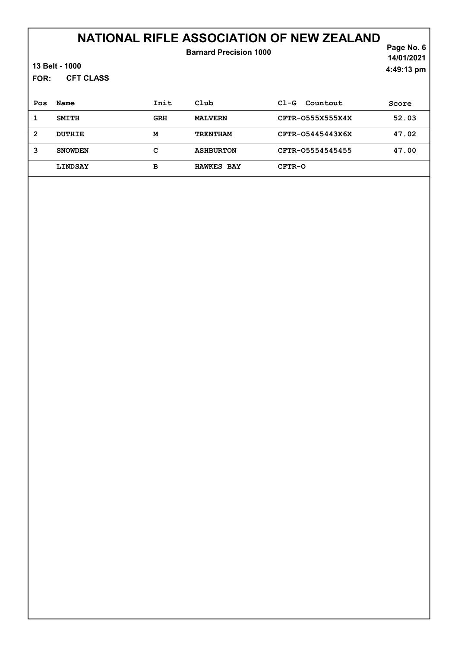| FOR:         | 13 Belt - 1000<br><b>CFT CLASS</b> |            | <b>Barnard Precision 1000</b> |                    | Page No. 6<br>14/01/2021<br>4:49:13 pm |
|--------------|------------------------------------|------------|-------------------------------|--------------------|----------------------------------------|
| Pos          | Name                               | Init       | Club                          | Countout<br>$CL-G$ | Score                                  |
| 1            | <b>SMITH</b>                       | <b>GRH</b> | <b>MALVERN</b>                | CFTR-0555X555X4X   | 52.03                                  |
| $\mathbf{2}$ | DUTHIE                             | M          | <b>TRENTHAM</b>               | CFTR-05445443X6X   | 47.02                                  |
| 3            | <b>SNOWDEN</b>                     | с          | <b>ASHBURTON</b>              | CFTR-05554545455   | 47.00                                  |
|              | <b>LINDSAY</b>                     | в          | <b>HAWKES BAY</b>             | CFTR-O             |                                        |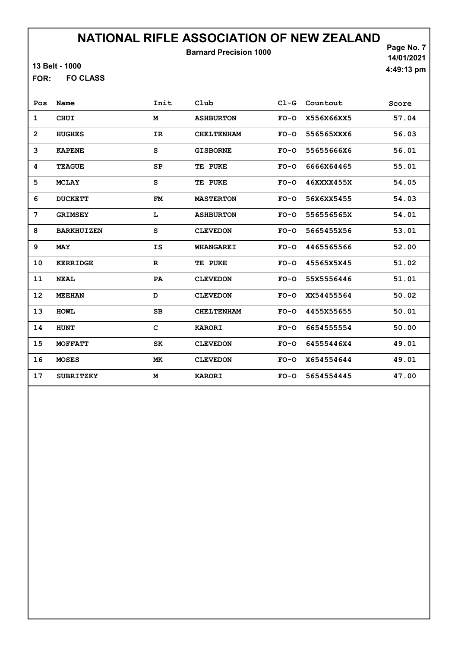Barnard Precision 1000

Page No. 7 14/01/2021 4:49:13 pm

13 Belt - 1000

FO CLASS FOR:

| Pos          | Name              | Init        | Club              | $C1-G$ | Countout   | Score |
|--------------|-------------------|-------------|-------------------|--------|------------|-------|
| 1            | <b>CHUI</b>       | M           | <b>ASHBURTON</b>  | $FO-O$ | X556X66XX5 | 57.04 |
| $\mathbf{2}$ | <b>HUGHES</b>     | IR          | <b>CHELTENHAM</b> | $FO-O$ | 556565XXX6 | 56.03 |
| 3            | <b>KAPENE</b>     | S           | <b>GISBORNE</b>   | $FO-O$ | 55655666X6 | 56.01 |
| 4            | <b>TEAGUE</b>     | SP          | TE PUKE           | $FO-O$ | 6666X64465 | 55.01 |
| 5            | <b>MCLAY</b>      | S           | TE PUKE           | $FO-O$ | 46XXXX455X | 54.05 |
| 6            | <b>DUCKETT</b>    | <b>FM</b>   | <b>MASTERTON</b>  | $FO-O$ | 56X6XX5455 | 54.03 |
| 7            | <b>GRIMSEY</b>    | L           | <b>ASHBURTON</b>  | $FO-O$ | 556556565X | 54.01 |
| 8            | <b>BARKHUIZEN</b> | S           | <b>CLEVEDON</b>   | $FO-O$ | 5665455X56 | 53.01 |
| 9            | <b>MAY</b>        | IS          | WHANGAREI         | $FO-O$ | 4465565566 | 52.00 |
| 10           | <b>KERRIDGE</b>   | $\mathbf R$ | TE PUKE           | $FO-O$ | 45565X5X45 | 51.02 |
| 11           | <b>NEAL</b>       | PA          | <b>CLEVEDON</b>   | $FO-O$ | 55X5556446 | 51.01 |
| 12           | <b>MEEHAN</b>     | D           | <b>CLEVEDON</b>   | $FO-O$ | XX54455564 | 50.02 |
| 13           | <b>HOWL</b>       | SB          | <b>CHELTENHAM</b> | $FO-O$ | 4455X55655 | 50.01 |
| 14           | <b>HUNT</b>       | C           | <b>KARORI</b>     | $FO-O$ | 6654555554 | 50.00 |
| 15           | <b>MOFFATT</b>    | SK          | <b>CLEVEDON</b>   | $FO-O$ | 64555446X4 | 49.01 |
| 16           | <b>MOSES</b>      | МK          | <b>CLEVEDON</b>   | $FO-O$ | X654554644 | 49.01 |
| 17           | <b>SUBRITZKY</b>  | M           | <b>KARORI</b>     | $FO-O$ | 5654554445 | 47.00 |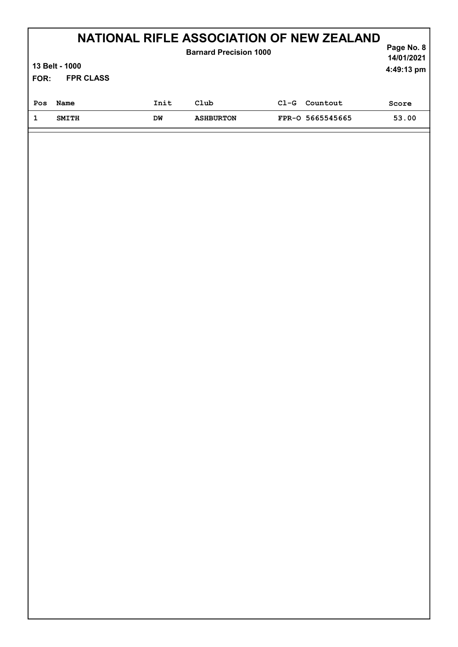| <b>NATIONAL RIFLE ASSOCIATION OF NEW ZEALAND</b><br>Page No. 8<br><b>Barnard Precision 1000</b><br>13 Belt - 1000<br>4:49:13 pm |                          |      |                  |        |                  |       |  |
|---------------------------------------------------------------------------------------------------------------------------------|--------------------------|------|------------------|--------|------------------|-------|--|
|                                                                                                                                 | <b>FPR CLASS</b><br>FOR: |      |                  |        |                  |       |  |
| Pos                                                                                                                             | Name                     | Init | Club             | $C1-G$ | Countout         | Score |  |
| 1                                                                                                                               | <b>SMITH</b>             | DW   | <b>ASHBURTON</b> |        | FPR-0 5665545665 | 53.00 |  |
|                                                                                                                                 |                          |      |                  |        |                  |       |  |